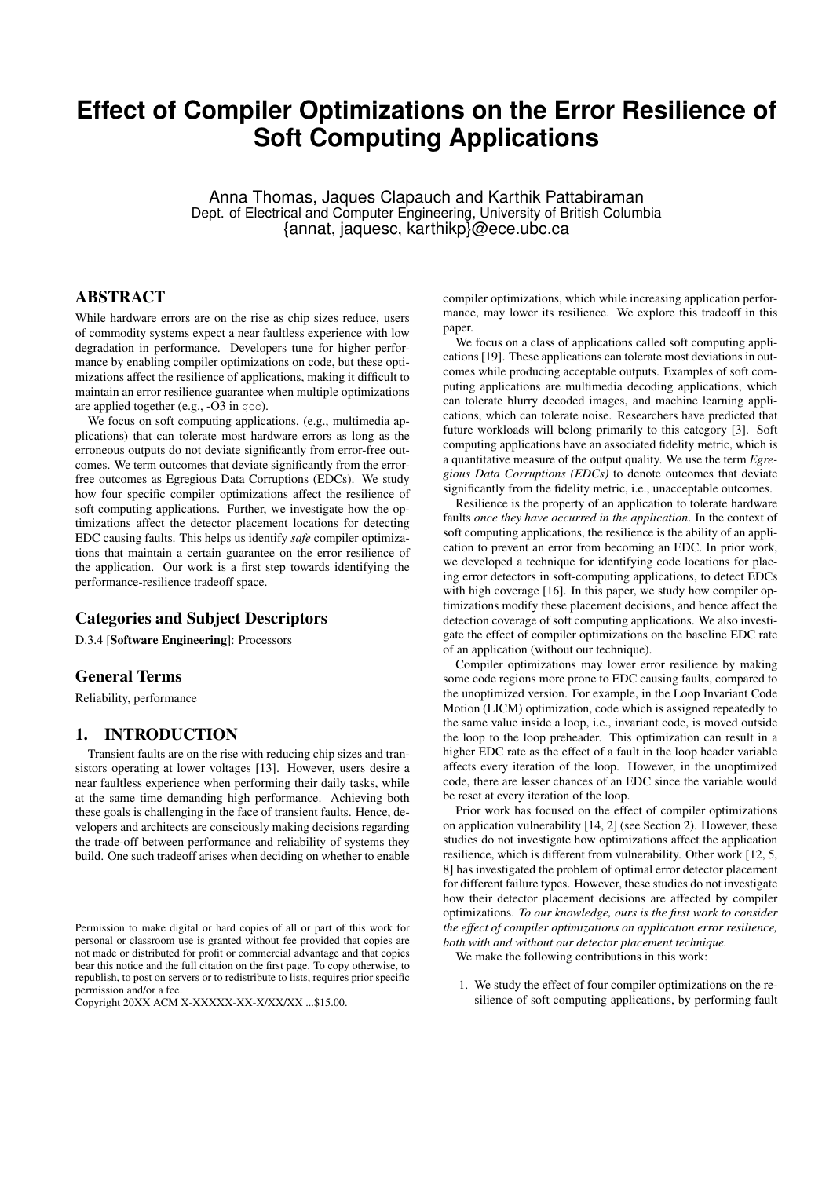# **Effect of Compiler Optimizations on the Error Resilience of Soft Computing Applications**

Anna Thomas, Jaques Clapauch and Karthik Pattabiraman Dept. of Electrical and Computer Engineering, University of British Columbia {annat, jaquesc, karthikp}@ece.ubc.ca

# ABSTRACT

While hardware errors are on the rise as chip sizes reduce, users of commodity systems expect a near faultless experience with low degradation in performance. Developers tune for higher performance by enabling compiler optimizations on code, but these optimizations affect the resilience of applications, making it difficult to maintain an error resilience guarantee when multiple optimizations are applied together (e.g., -O3 in gcc).

We focus on soft computing applications, (e.g., multimedia applications) that can tolerate most hardware errors as long as the erroneous outputs do not deviate significantly from error-free outcomes. We term outcomes that deviate significantly from the errorfree outcomes as Egregious Data Corruptions (EDCs). We study how four specific compiler optimizations affect the resilience of soft computing applications. Further, we investigate how the optimizations affect the detector placement locations for detecting EDC causing faults. This helps us identify *safe* compiler optimizations that maintain a certain guarantee on the error resilience of the application. Our work is a first step towards identifying the performance-resilience tradeoff space.

# Categories and Subject Descriptors

D.3.4 [Software Engineering]: Processors

# General Terms

Reliability, performance

#### 1. INTRODUCTION

Transient faults are on the rise with reducing chip sizes and transistors operating at lower voltages [13]. However, users desire a near faultless experience when performing their daily tasks, while at the same time demanding high performance. Achieving both these goals is challenging in the face of transient faults. Hence, developers and architects are consciously making decisions regarding the trade-off between performance and reliability of systems they build. One such tradeoff arises when deciding on whether to enable

Copyright 20XX ACM X-XXXXX-XX-X/XX/XX ...\$15.00.

compiler optimizations, which while increasing application performance, may lower its resilience. We explore this tradeoff in this paper.

We focus on a class of applications called soft computing applications [19]. These applications can tolerate most deviations in outcomes while producing acceptable outputs. Examples of soft computing applications are multimedia decoding applications, which can tolerate blurry decoded images, and machine learning applications, which can tolerate noise. Researchers have predicted that future workloads will belong primarily to this category [3]. Soft computing applications have an associated fidelity metric, which is a quantitative measure of the output quality. We use the term *Egregious Data Corruptions (EDCs)* to denote outcomes that deviate significantly from the fidelity metric, i.e., unacceptable outcomes.

Resilience is the property of an application to tolerate hardware faults *once they have occurred in the application*. In the context of soft computing applications, the resilience is the ability of an application to prevent an error from becoming an EDC. In prior work, we developed a technique for identifying code locations for placing error detectors in soft-computing applications, to detect EDCs with high coverage [16]. In this paper, we study how compiler optimizations modify these placement decisions, and hence affect the detection coverage of soft computing applications. We also investigate the effect of compiler optimizations on the baseline EDC rate of an application (without our technique).

Compiler optimizations may lower error resilience by making some code regions more prone to EDC causing faults, compared to the unoptimized version. For example, in the Loop Invariant Code Motion (LICM) optimization, code which is assigned repeatedly to the same value inside a loop, i.e., invariant code, is moved outside the loop to the loop preheader. This optimization can result in a higher EDC rate as the effect of a fault in the loop header variable affects every iteration of the loop. However, in the unoptimized code, there are lesser chances of an EDC since the variable would be reset at every iteration of the loop.

Prior work has focused on the effect of compiler optimizations on application vulnerability [14, 2] (see Section 2). However, these studies do not investigate how optimizations affect the application resilience, which is different from vulnerability. Other work [12, 5, 8] has investigated the problem of optimal error detector placement for different failure types. However, these studies do not investigate how their detector placement decisions are affected by compiler optimizations. *To our knowledge, ours is the first work to consider the effect of compiler optimizations on application error resilience, both with and without our detector placement technique.*

We make the following contributions in this work:

1. We study the effect of four compiler optimizations on the resilience of soft computing applications, by performing fault

Permission to make digital or hard copies of all or part of this work for personal or classroom use is granted without fee provided that copies are not made or distributed for profit or commercial advantage and that copies bear this notice and the full citation on the first page. To copy otherwise, to republish, to post on servers or to redistribute to lists, requires prior specific permission and/or a fee.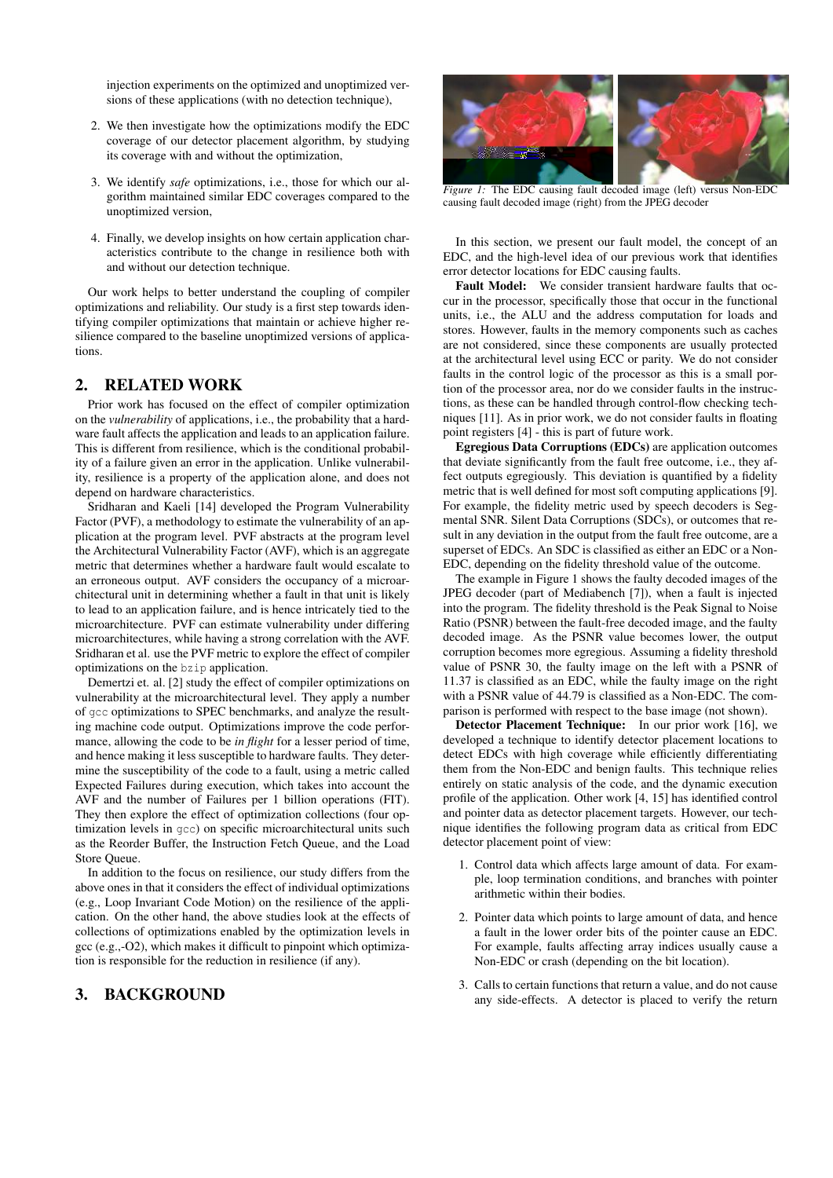injection experiments on the optimized and unoptimized versions of these applications (with no detection technique),

- 2. We then investigate how the optimizations modify the EDC coverage of our detector placement algorithm, by studying its coverage with and without the optimization,
- 3. We identify *safe* optimizations, i.e., those for which our algorithm maintained similar EDC coverages compared to the unoptimized version,
- 4. Finally, we develop insights on how certain application characteristics contribute to the change in resilience both with and without our detection technique.

Our work helps to better understand the coupling of compiler optimizations and reliability. Our study is a first step towards identifying compiler optimizations that maintain or achieve higher resilience compared to the baseline unoptimized versions of applications.

# 2. RELATED WORK

Prior work has focused on the effect of compiler optimization on the *vulnerability* of applications, i.e., the probability that a hardware fault affects the application and leads to an application failure. This is different from resilience, which is the conditional probability of a failure given an error in the application. Unlike vulnerability, resilience is a property of the application alone, and does not depend on hardware characteristics.

Sridharan and Kaeli [14] developed the Program Vulnerability Factor (PVF), a methodology to estimate the vulnerability of an application at the program level. PVF abstracts at the program level the Architectural Vulnerability Factor (AVF), which is an aggregate metric that determines whether a hardware fault would escalate to an erroneous output. AVF considers the occupancy of a microarchitectural unit in determining whether a fault in that unit is likely to lead to an application failure, and is hence intricately tied to the microarchitecture. PVF can estimate vulnerability under differing microarchitectures, while having a strong correlation with the AVF. Sridharan et al. use the PVF metric to explore the effect of compiler optimizations on the bzip application.

Demertzi et. al. [2] study the effect of compiler optimizations on vulnerability at the microarchitectural level. They apply a number of gcc optimizations to SPEC benchmarks, and analyze the resulting machine code output. Optimizations improve the code performance, allowing the code to be *in flight* for a lesser period of time, and hence making it less susceptible to hardware faults. They determine the susceptibility of the code to a fault, using a metric called Expected Failures during execution, which takes into account the AVF and the number of Failures per 1 billion operations (FIT). They then explore the effect of optimization collections (four optimization levels in gcc) on specific microarchitectural units such as the Reorder Buffer, the Instruction Fetch Queue, and the Load Store Queue.

In addition to the focus on resilience, our study differs from the above ones in that it considers the effect of individual optimizations (e.g., Loop Invariant Code Motion) on the resilience of the application. On the other hand, the above studies look at the effects of collections of optimizations enabled by the optimization levels in gcc (e.g.,-O2), which makes it difficult to pinpoint which optimization is responsible for the reduction in resilience (if any).

# 3. BACKGROUND



*Figure 1:* The EDC causing fault decoded image (left) versus Non-EDC causing fault decoded image (right) from the JPEG decoder

In this section, we present our fault model, the concept of an EDC, and the high-level idea of our previous work that identifies error detector locations for EDC causing faults.

Fault Model: We consider transient hardware faults that occur in the processor, specifically those that occur in the functional units, i.e., the ALU and the address computation for loads and stores. However, faults in the memory components such as caches are not considered, since these components are usually protected at the architectural level using ECC or parity. We do not consider faults in the control logic of the processor as this is a small portion of the processor area, nor do we consider faults in the instructions, as these can be handled through control-flow checking techniques [11]. As in prior work, we do not consider faults in floating point registers [4] - this is part of future work.

Egregious Data Corruptions (EDCs) are application outcomes that deviate significantly from the fault free outcome, i.e., they affect outputs egregiously. This deviation is quantified by a fidelity metric that is well defined for most soft computing applications [9]. For example, the fidelity metric used by speech decoders is Segmental SNR. Silent Data Corruptions (SDCs), or outcomes that result in any deviation in the output from the fault free outcome, are a superset of EDCs. An SDC is classified as either an EDC or a Non-EDC, depending on the fidelity threshold value of the outcome.

The example in Figure 1 shows the faulty decoded images of the JPEG decoder (part of Mediabench [7]), when a fault is injected into the program. The fidelity threshold is the Peak Signal to Noise Ratio (PSNR) between the fault-free decoded image, and the faulty decoded image. As the PSNR value becomes lower, the output corruption becomes more egregious. Assuming a fidelity threshold value of PSNR 30, the faulty image on the left with a PSNR of 11.37 is classified as an EDC, while the faulty image on the right with a PSNR value of 44.79 is classified as a Non-EDC. The comparison is performed with respect to the base image (not shown).

Detector Placement Technique: In our prior work [16], we developed a technique to identify detector placement locations to detect EDCs with high coverage while efficiently differentiating them from the Non-EDC and benign faults. This technique relies entirely on static analysis of the code, and the dynamic execution profile of the application. Other work [4, 15] has identified control and pointer data as detector placement targets. However, our technique identifies the following program data as critical from EDC detector placement point of view:

- 1. Control data which affects large amount of data. For example, loop termination conditions, and branches with pointer arithmetic within their bodies.
- 2. Pointer data which points to large amount of data, and hence a fault in the lower order bits of the pointer cause an EDC. For example, faults affecting array indices usually cause a Non-EDC or crash (depending on the bit location).
- 3. Calls to certain functions that return a value, and do not cause any side-effects. A detector is placed to verify the return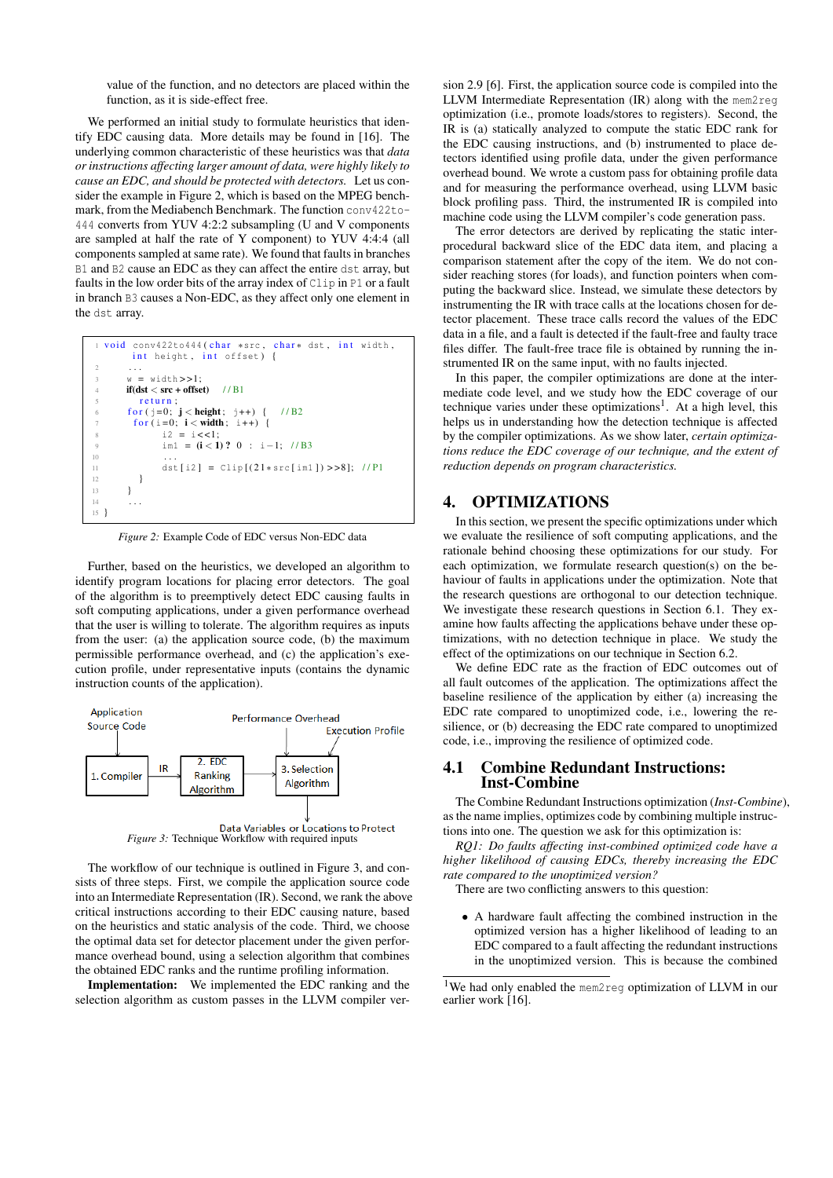value of the function, and no detectors are placed within the function, as it is side-effect free.

We performed an initial study to formulate heuristics that identify EDC causing data. More details may be found in [16]. The underlying common characteristic of these heuristics was that *data or instructions affecting larger amount of data, were highly likely to cause an EDC, and should be protected with detectors.* Let us consider the example in Figure 2, which is based on the MPEG benchmark, from the Mediabench Benchmark. The function conv422to-444 converts from YUV 4:2:2 subsampling (U and V components are sampled at half the rate of Y component) to YUV 4:4:4 (all components sampled at same rate). We found that faults in branches B1 and B2 cause an EDC as they can affect the entire dst array, but faults in the low order bits of the array index of Clip in P1 or a fault in branch B3 causes a Non-EDC, as they affect only one element in the dst array.

| 1 void conv422to444(char *src, char* dst, int width, |  |
|------------------------------------------------------|--|
| int height, int offset) {                            |  |
| 2                                                    |  |
| $\overline{\mathcal{L}}$<br>$w = width \gt 1$ :      |  |
| $if (dst < src + offset)$ //B1<br>$\overline{4}$     |  |
| $\overline{5}$<br>return:                            |  |
| for $(i=0; j <$ height; $i++$ ) { //B2<br>6          |  |
| for $(i=0; i <$ width; $i++$ ) {<br>$\tau$           |  |
| $i2 = i < 1$ :<br>$\overline{\mathbf{x}}$            |  |
| $\overline{Q}$<br>$im1 = (i < 1) ? 0 : i = 1; //B3$  |  |
| 10<br>$\cdots$                                       |  |
| dst[i2] = $Clip[(21*src[im1])>>8]; // P1$<br>11      |  |
| 12                                                   |  |
| 13                                                   |  |
| 14                                                   |  |
| 15                                                   |  |

*Figure 2:* Example Code of EDC versus Non-EDC data

Further, based on the heuristics, we developed an algorithm to identify program locations for placing error detectors. The goal of the algorithm is to preemptively detect EDC causing faults in soft computing applications, under a given performance overhead that the user is willing to tolerate. The algorithm requires as inputs from the user: (a) the application source code, (b) the maximum permissible performance overhead, and (c) the application's execution profile, under representative inputs (contains the dynamic instruction counts of the application).



**Data Variables or Locations to Protect** *Figure 3:* Technique Workflow with required inputs

The workflow of our technique is outlined in Figure 3, and consists of three steps. First, we compile the application source code into an Intermediate Representation (IR). Second, we rank the above critical instructions according to their EDC causing nature, based on the heuristics and static analysis of the code. Third, we choose the optimal data set for detector placement under the given performance overhead bound, using a selection algorithm that combines the obtained EDC ranks and the runtime profiling information.

Implementation: We implemented the EDC ranking and the selection algorithm as custom passes in the LLVM compiler ver-

sion 2.9 [6]. First, the application source code is compiled into the LLVM Intermediate Representation (IR) along with the mem2reg optimization (i.e., promote loads/stores to registers). Second, the IR is (a) statically analyzed to compute the static EDC rank for the EDC causing instructions, and (b) instrumented to place detectors identified using profile data, under the given performance overhead bound. We wrote a custom pass for obtaining profile data and for measuring the performance overhead, using LLVM basic block profiling pass. Third, the instrumented IR is compiled into machine code using the LLVM compiler's code generation pass.

The error detectors are derived by replicating the static interprocedural backward slice of the EDC data item, and placing a comparison statement after the copy of the item. We do not consider reaching stores (for loads), and function pointers when computing the backward slice. Instead, we simulate these detectors by instrumenting the IR with trace calls at the locations chosen for detector placement. These trace calls record the values of the EDC data in a file, and a fault is detected if the fault-free and faulty trace files differ. The fault-free trace file is obtained by running the instrumented IR on the same input, with no faults injected.

In this paper, the compiler optimizations are done at the intermediate code level, and we study how the EDC coverage of our technique varies under these optimizations<sup>1</sup>. At a high level, this helps us in understanding how the detection technique is affected by the compiler optimizations. As we show later, *certain optimizations reduce the EDC coverage of our technique, and the extent of reduction depends on program characteristics.*

#### 4. OPTIMIZATIONS

In this section, we present the specific optimizations under which we evaluate the resilience of soft computing applications, and the rationale behind choosing these optimizations for our study. For each optimization, we formulate research question(s) on the behaviour of faults in applications under the optimization. Note that the research questions are orthogonal to our detection technique. We investigate these research questions in Section 6.1. They examine how faults affecting the applications behave under these optimizations, with no detection technique in place. We study the effect of the optimizations on our technique in Section 6.2.

We define EDC rate as the fraction of EDC outcomes out of all fault outcomes of the application. The optimizations affect the baseline resilience of the application by either (a) increasing the EDC rate compared to unoptimized code, i.e., lowering the resilience, or (b) decreasing the EDC rate compared to unoptimized code, i.e., improving the resilience of optimized code.

#### 4.1 Combine Redundant Instructions: Inst-Combine

The Combine Redundant Instructions optimization (*Inst-Combine*), as the name implies, optimizes code by combining multiple instructions into one. The question we ask for this optimization is:

*RQ1: Do faults affecting inst-combined optimized code have a higher likelihood of causing EDCs, thereby increasing the EDC rate compared to the unoptimized version?*

There are two conflicting answers to this question:

• A hardware fault affecting the combined instruction in the optimized version has a higher likelihood of leading to an EDC compared to a fault affecting the redundant instructions in the unoptimized version. This is because the combined

<sup>&</sup>lt;sup>1</sup>We had only enabled the mem2reg optimization of LLVM in our earlier work [16].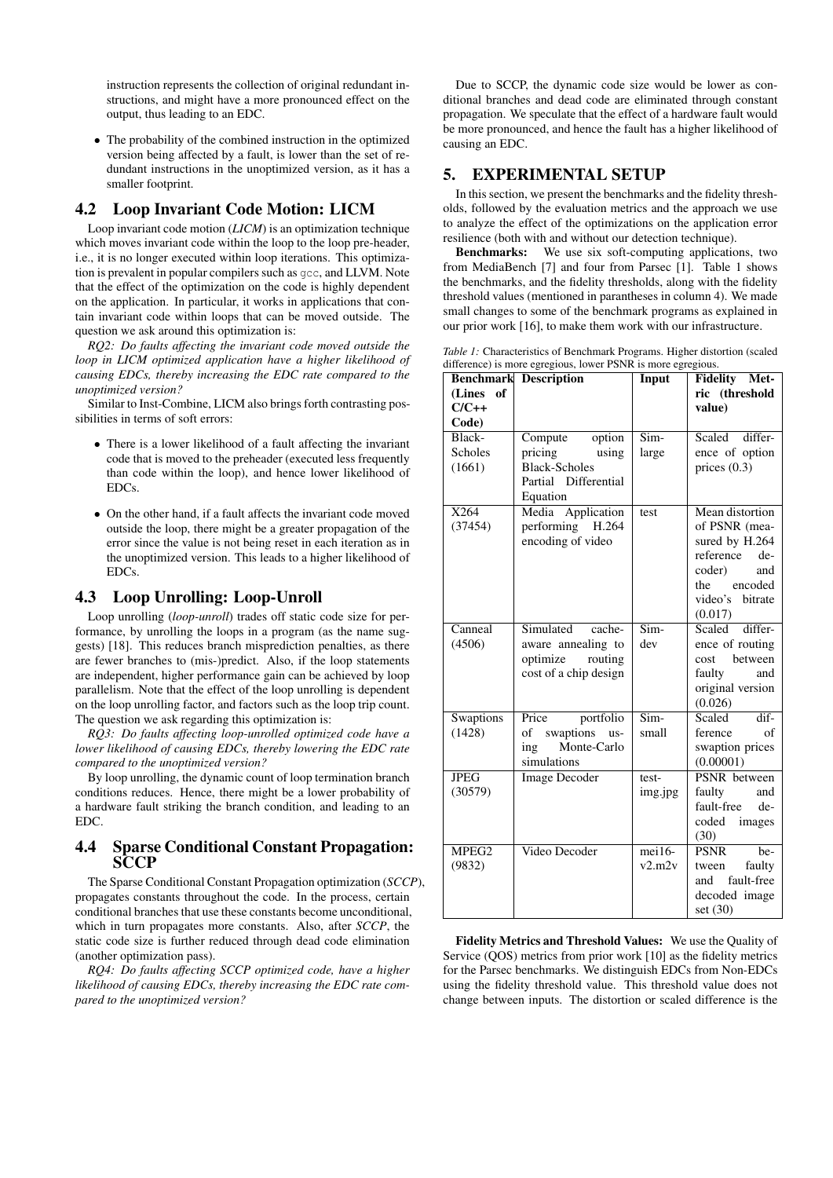instruction represents the collection of original redundant instructions, and might have a more pronounced effect on the output, thus leading to an EDC.

• The probability of the combined instruction in the optimized version being affected by a fault, is lower than the set of redundant instructions in the unoptimized version, as it has a smaller footprint.

# 4.2 Loop Invariant Code Motion: LICM

Loop invariant code motion (*LICM*) is an optimization technique which moves invariant code within the loop to the loop pre-header, i.e., it is no longer executed within loop iterations. This optimization is prevalent in popular compilers such as gcc, and LLVM. Note that the effect of the optimization on the code is highly dependent on the application. In particular, it works in applications that contain invariant code within loops that can be moved outside. The question we ask around this optimization is:

*RQ2: Do faults affecting the invariant code moved outside the loop in LICM optimized application have a higher likelihood of causing EDCs, thereby increasing the EDC rate compared to the unoptimized version?*

Similar to Inst-Combine, LICM also brings forth contrasting possibilities in terms of soft errors:

- There is a lower likelihood of a fault affecting the invariant code that is moved to the preheader (executed less frequently than code within the loop), and hence lower likelihood of EDCs.
- On the other hand, if a fault affects the invariant code moved outside the loop, there might be a greater propagation of the error since the value is not being reset in each iteration as in the unoptimized version. This leads to a higher likelihood of EDCs.

# 4.3 Loop Unrolling: Loop-Unroll

Loop unrolling (*loop-unroll*) trades off static code size for performance, by unrolling the loops in a program (as the name suggests) [18]. This reduces branch misprediction penalties, as there are fewer branches to (mis-)predict. Also, if the loop statements are independent, higher performance gain can be achieved by loop parallelism. Note that the effect of the loop unrolling is dependent on the loop unrolling factor, and factors such as the loop trip count. The question we ask regarding this optimization is:

*RQ3: Do faults affecting loop-unrolled optimized code have a lower likelihood of causing EDCs, thereby lowering the EDC rate compared to the unoptimized version?*

By loop unrolling, the dynamic count of loop termination branch conditions reduces. Hence, there might be a lower probability of a hardware fault striking the branch condition, and leading to an EDC.

# 4.4 Sparse Conditional Constant Propagation: **SCCP**

The Sparse Conditional Constant Propagation optimization (*SCCP*), propagates constants throughout the code. In the process, certain conditional branches that use these constants become unconditional, which in turn propagates more constants. Also, after *SCCP*, the static code size is further reduced through dead code elimination (another optimization pass).

*RQ4: Do faults affecting SCCP optimized code, have a higher likelihood of causing EDCs, thereby increasing the EDC rate compared to the unoptimized version?*

Due to SCCP, the dynamic code size would be lower as conditional branches and dead code are eliminated through constant propagation. We speculate that the effect of a hardware fault would be more pronounced, and hence the fault has a higher likelihood of causing an EDC.

# 5. EXPERIMENTAL SETUP

In this section, we present the benchmarks and the fidelity thresholds, followed by the evaluation metrics and the approach we use to analyze the effect of the optimizations on the application error resilience (both with and without our detection technique).

Benchmarks: We use six soft-computing applications, two from MediaBench [7] and four from Parsec [1]. Table 1 shows the benchmarks, and the fidelity thresholds, along with the fidelity threshold values (mentioned in parantheses in column 4). We made small changes to some of the benchmark programs as explained in our prior work [16], to make them work with our infrastructure.

| <i>Table 1:</i> Characteristics of Benchmark Programs. Higher distortion (scaled |  |
|----------------------------------------------------------------------------------|--|
| difference) is more egregious, lower PSNR is more egregious.                     |  |

| <b>Benchmark</b>  | <b>Description</b>                      | Input                    | Fidelity Met-                         |
|-------------------|-----------------------------------------|--------------------------|---------------------------------------|
| (Lines of         |                                         |                          | ric (threshold                        |
| $C/C++$           |                                         |                          | value)                                |
| Code)             |                                         |                          |                                       |
| Black-            | option<br>Compute                       | $Sim-$                   | differ-<br>Scaled                     |
| Scholes           | pricing<br>using                        | large                    | ence of option                        |
| (1661)            | <b>Black-Scholes</b>                    |                          | prices $(0.3)$                        |
|                   | Partial Differential                    |                          |                                       |
|                   | Equation                                |                          |                                       |
| X264              | Media Application                       | test                     | Mean distortion                       |
| (37454)           | performing H.264                        |                          | of PSNR (mea-                         |
|                   | encoding of video                       |                          | sured by H.264                        |
|                   |                                         |                          | reference<br>de-                      |
|                   |                                         |                          | coder)<br>and                         |
|                   |                                         |                          | encoded<br>the                        |
|                   |                                         |                          | video's<br>bitrate                    |
|                   |                                         |                          | (0.017)                               |
| Canneal           | Simulated<br>cache-                     | Sim-                     | Scaled differ-                        |
| (4506)            | aware annealing to                      | dev                      | ence of routing                       |
|                   | optimize<br>routing                     |                          | cost between                          |
|                   | cost of a chip design                   |                          | faulty<br>and                         |
|                   |                                         |                          | original version                      |
|                   |                                         | $\overline{\text{Sim-}}$ | (0.026)<br>$\overline{dif}$<br>Scaled |
| <b>Swaptions</b>  | portfolio<br>Price                      |                          | ference<br>of                         |
| (1428)            | swaptions<br>of<br>$us-$<br>Monte-Carlo | small                    |                                       |
|                   | ing<br>simulations                      |                          | swaption prices<br>(0.00001)          |
| <b>JPEG</b>       | <b>Image Decoder</b>                    | test-                    | <b>PSNR</b> between                   |
| (30579)           |                                         |                          | faulty<br>and                         |
|                   |                                         | img.jpg                  | fault-free<br>de-                     |
|                   |                                         |                          | coded<br>images                       |
|                   |                                         |                          | (30)                                  |
| MPEG <sub>2</sub> | Video Decoder                           | $mei16-$                 | <b>PSNR</b><br>$\bar{b}e-$            |
| (9832)            |                                         | v2.m2v                   | faulty<br>tween                       |
|                   |                                         |                          | and fault-free                        |
|                   |                                         |                          | decoded image                         |
|                   |                                         |                          | set (30)                              |

Fidelity Metrics and Threshold Values: We use the Quality of Service (QOS) metrics from prior work [10] as the fidelity metrics for the Parsec benchmarks. We distinguish EDCs from Non-EDCs using the fidelity threshold value. This threshold value does not change between inputs. The distortion or scaled difference is the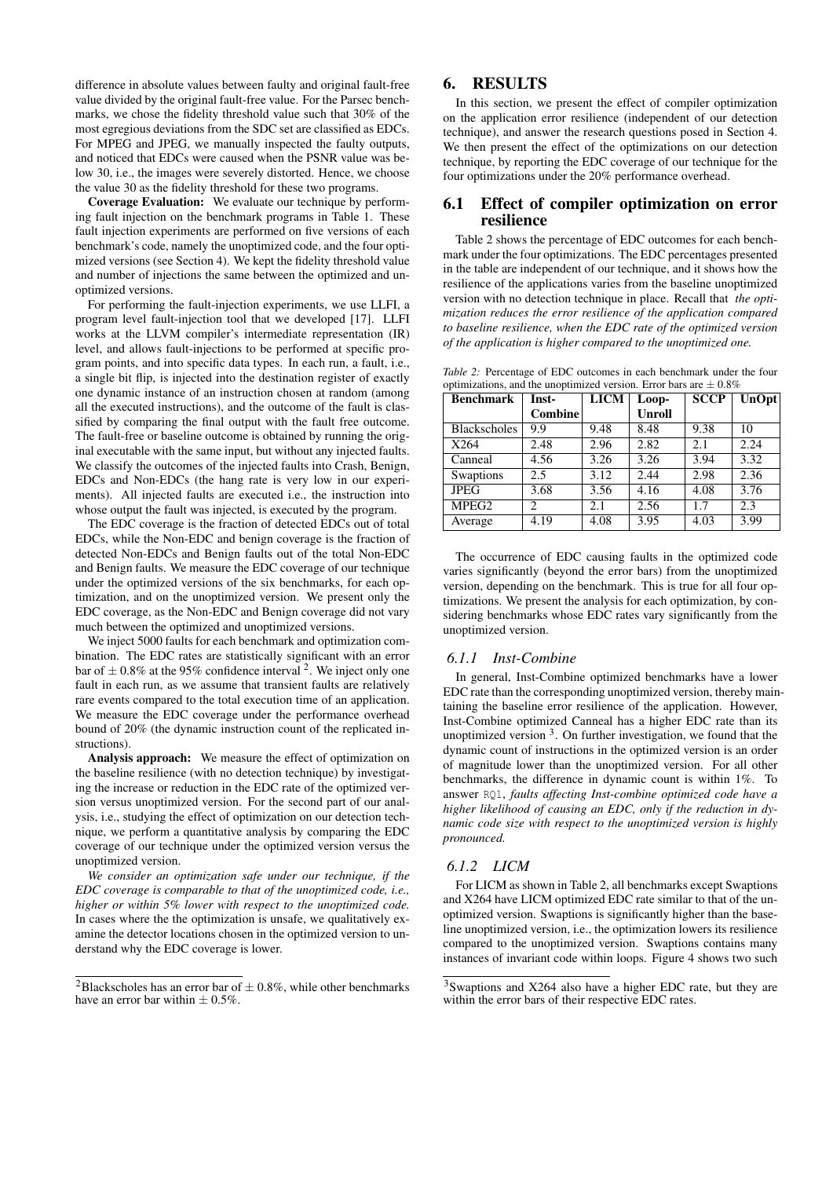difference in absolute values between faulty and original fault-free value divided by the original fault-free value. For the Parsec benchmarks, we chose the fidelity threshold value such that 30% of the most egregious deviations from the SDC set are classified as EDCs. For MPEG and JPEG, we manually inspected the faulty outputs, and noticed that EDCs were caused when the PSNR value was below 30, i.e., the images were severely distorted. Hence, we choose the value 30 as the fidelity threshold for these two programs.

Coverage Evaluation: We evaluate our technique by performing fault injection on the benchmark programs in Table 1. These fault injection experiments are performed on five versions of each benchmark's code, namely the unoptimized code, and the four optimized versions (see Section 4). We kept the fidelity threshold value and number of injections the same between the optimized and unoptimized versions.

For performing the fault-injection experiments, we use LLFI, a program level fault-injection tool that we developed [17]. LLFI works at the LLVM compiler's intermediate representation (IR) level, and allows fault-injections to be performed at specific program points, and into specific data types. In each run, a fault, i.e., a single bit flip, is injected into the destination register of exactly one dynamic instance of an instruction chosen at random (among all the executed instructions), and the outcome of the fault is classified by comparing the final output with the fault free outcome. The fault-free or baseline outcome is obtained by running the original executable with the same input, but without any injected faults. We classify the outcomes of the injected faults into Crash, Benign, EDCs and Non-EDCs (the hang rate is very low in our experiments). All injected faults are executed i.e., the instruction into whose output the fault was injected, is executed by the program.

The EDC coverage is the fraction of detected EDCs out of total EDCs, while the Non-EDC and benign coverage is the fraction of detected Non-EDCs and Benign faults out of the total Non-EDC and Benign faults. We measure the EDC coverage of our technique under the optimized versions of the six benchmarks, for each optimization, and on the unoptimized version. We present only the EDC coverage, as the Non-EDC and Benign coverage did not vary much between the optimized and unoptimized versions.

We inject 5000 faults for each benchmark and optimization combination. The EDC rates are statistically significant with an error bar of  $\pm$  0.8% at the 95% confidence interval <sup>2</sup>. We inject only one fault in each run, as we assume that transient faults are relatively rare events compared to the total execution time of an application. We measure the EDC coverage under the performance overhead bound of 20% (the dynamic instruction count of the replicated instructions).

Analysis approach: We measure the effect of optimization on the baseline resilience (with no detection technique) by investigating the increase or reduction in the EDC rate of the optimized version versus unoptimized version. For the second part of our analysis, i.e., studying the effect of optimization on our detection technique, we perform a quantitative analysis by comparing the EDC coverage of our technique under the optimized version versus the unoptimized version.

*We consider an optimization safe under our technique, if the EDC coverage is comparable to that of the unoptimized code, i.e., higher or within 5% lower with respect to the unoptimized code.* In cases where the the optimization is unsafe, we qualitatively examine the detector locations chosen in the optimized version to understand why the EDC coverage is lower.

# 6. RESULTS

In this section, we present the effect of compiler optimization on the application error resilience (independent of our detection technique), and answer the research questions posed in Section 4. We then present the effect of the optimizations on our detection technique, by reporting the EDC coverage of our technique for the four optimizations under the 20% performance overhead.

# 6.1 Effect of compiler optimization on error resilience

Table 2 shows the percentage of EDC outcomes for each benchmark under the four optimizations. The EDC percentages presented in the table are independent of our technique, and it shows how the resilience of the applications varies from the baseline unoptimized version with no detection technique in place. Recall that *the optimization reduces the error resilience of the application compared to baseline resilience, when the EDC rate of the optimized version of the application is higher compared to the unoptimized one.*

| <b>Benchmark</b>    | Inst-          | <b>LICM</b> | Loop-         | <b>SCCP</b> | UnOpt |
|---------------------|----------------|-------------|---------------|-------------|-------|
|                     | <b>Combine</b> |             | <b>Unroll</b> |             |       |
| <b>Blackscholes</b> | 9.9            | 9.48        | 8.48          | 9.38        | 10    |
| X264                | 2.48           | 2.96        | 2.82          | 2.1         | 2.24  |
| Canneal             | 4.56           | 3.26        | 3.26          | 3.94        | 3.32  |
| <b>Swaptions</b>    | 2.5            | 3.12        | 2.44          | 2.98        | 2.36  |
| <b>JPEG</b>         | 3.68           | 3.56        | 4.16          | 4.08        | 3.76  |
| MPEG <sub>2</sub>   | 2              | 2.1         | 2.56          | 1.7         | 2.3   |
| Average             | 4.19           | 4.08        | 3.95          | 4.03        | 3.99  |

*Table 2:* Percentage of EDC outcomes in each benchmark under the four optimizations, and the unoptimized version. Error bars are  $\pm 0.8\%$ 

The occurrence of EDC causing faults in the optimized code varies significantly (beyond the error bars) from the unoptimized version, depending on the benchmark. This is true for all four optimizations. We present the analysis for each optimization, by considering benchmarks whose EDC rates vary significantly from the unoptimized version.

#### *6.1.1 Inst-Combine*

In general, Inst-Combine optimized benchmarks have a lower EDC rate than the corresponding unoptimized version, thereby maintaining the baseline error resilience of the application. However, Inst-Combine optimized Canneal has a higher EDC rate than its unoptimized version  $3$ . On further investigation, we found that the dynamic count of instructions in the optimized version is an order of magnitude lower than the unoptimized version. For all other benchmarks, the difference in dynamic count is within 1%. To answer RQ1, *faults affecting Inst-combine optimized code have a higher likelihood of causing an EDC, only if the reduction in dynamic code size with respect to the unoptimized version is highly pronounced.*

#### *6.1.2 LICM*

For LICM as shown in Table 2, all benchmarks except Swaptions and X264 have LICM optimized EDC rate similar to that of the unoptimized version. Swaptions is significantly higher than the baseline unoptimized version, i.e., the optimization lowers its resilience compared to the unoptimized version. Swaptions contains many instances of invariant code within loops. Figure 4 shows two such

<sup>&</sup>lt;sup>2</sup>Blackscholes has an error bar of  $\pm$  0.8%, while other benchmarks have an error bar within  $\pm 0.5\%$ .

<sup>&</sup>lt;sup>3</sup>Swaptions and X264 also have a higher EDC rate, but they are within the error bars of their respective EDC rates.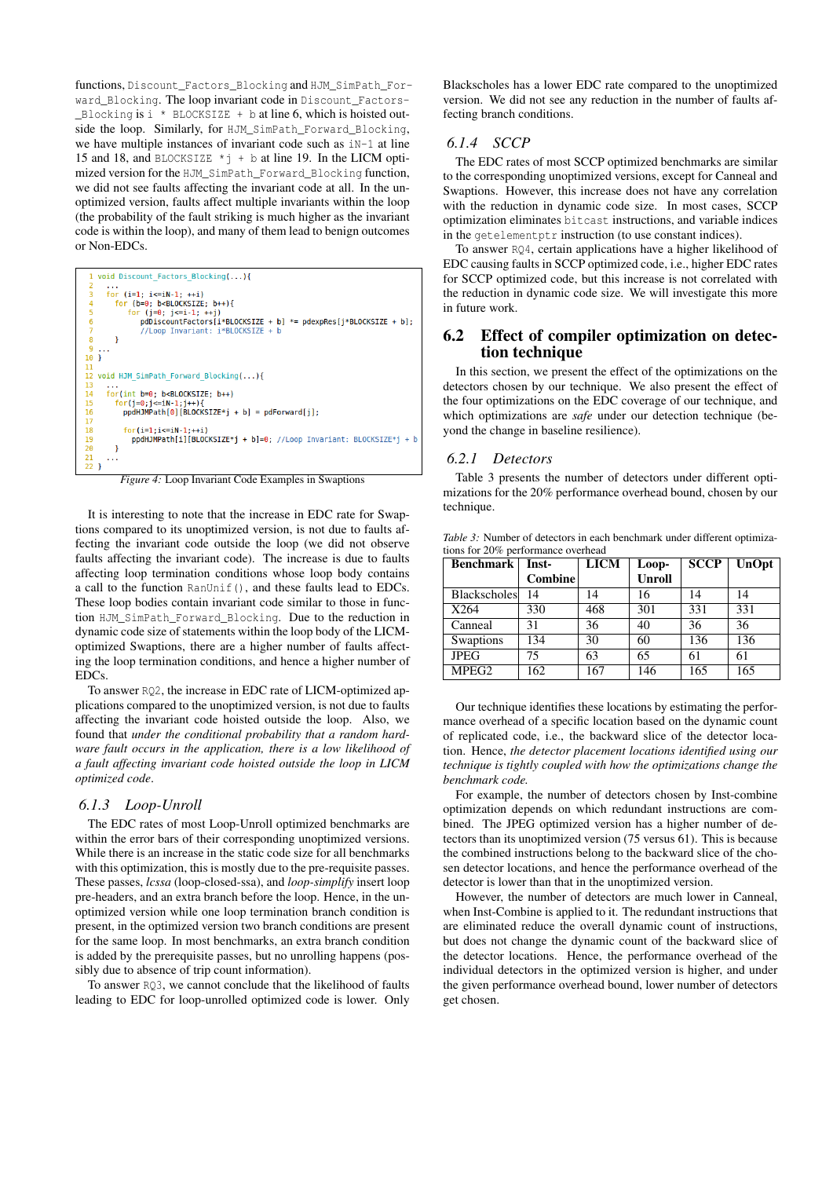functions, Discount\_Factors\_Blocking and HJM\_SimPath\_Forward\_Blocking. The loop invariant code in Discount\_Factors- Blocking is  $i *$  BLOCKSIZE + b at line 6, which is hoisted outside the loop. Similarly, for HJM\_SimPath\_Forward\_Blocking, we have multiple instances of invariant code such as iN-1 at line 15 and 18, and BLOCKSIZE \*j + b at line 19. In the LICM optimized version for the HJM\_SimPath\_Forward\_Blocking function, we did not see faults affecting the invariant code at all. In the unoptimized version, faults affect multiple invariants within the loop (the probability of the fault striking is much higher as the invariant code is within the loop), and many of them lead to benign outcomes or Non-EDCs.



*Figure 4:* Loop Invariant Code Examples in Swaptions

It is interesting to note that the increase in EDC rate for Swaptions compared to its unoptimized version, is not due to faults affecting the invariant code outside the loop (we did not observe faults affecting the invariant code). The increase is due to faults affecting loop termination conditions whose loop body contains a call to the function RanUnif(), and these faults lead to EDCs. These loop bodies contain invariant code similar to those in function HJM\_SimPath\_Forward\_Blocking. Due to the reduction in dynamic code size of statements within the loop body of the LICMoptimized Swaptions, there are a higher number of faults affecting the loop termination conditions, and hence a higher number of EDCs.

To answer RQ2, the increase in EDC rate of LICM-optimized applications compared to the unoptimized version, is not due to faults affecting the invariant code hoisted outside the loop. Also, we found that *under the conditional probability that a random hardware fault occurs in the application, there is a low likelihood of a fault affecting invariant code hoisted outside the loop in LICM optimized code*.

#### *6.1.3 Loop-Unroll*

The EDC rates of most Loop-Unroll optimized benchmarks are within the error bars of their corresponding unoptimized versions. While there is an increase in the static code size for all benchmarks with this optimization, this is mostly due to the pre-requisite passes. These passes, *lcssa* (loop-closed-ssa), and *loop-simplify* insert loop pre-headers, and an extra branch before the loop. Hence, in the unoptimized version while one loop termination branch condition is present, in the optimized version two branch conditions are present for the same loop. In most benchmarks, an extra branch condition is added by the prerequisite passes, but no unrolling happens (possibly due to absence of trip count information).

To answer RQ3, we cannot conclude that the likelihood of faults leading to EDC for loop-unrolled optimized code is lower. Only

Blackscholes has a lower EDC rate compared to the unoptimized version. We did not see any reduction in the number of faults affecting branch conditions.

#### *6.1.4 SCCP*

The EDC rates of most SCCP optimized benchmarks are similar to the corresponding unoptimized versions, except for Canneal and Swaptions. However, this increase does not have any correlation with the reduction in dynamic code size. In most cases, SCCP optimization eliminates bitcast instructions, and variable indices in the getelementptr instruction (to use constant indices).

To answer RQ4, certain applications have a higher likelihood of EDC causing faults in SCCP optimized code, i.e., higher EDC rates for SCCP optimized code, but this increase is not correlated with the reduction in dynamic code size. We will investigate this more in future work.

#### 6.2 Effect of compiler optimization on detection technique

In this section, we present the effect of the optimizations on the detectors chosen by our technique. We also present the effect of the four optimizations on the EDC coverage of our technique, and which optimizations are *safe* under our detection technique (beyond the change in baseline resilience).

#### *6.2.1 Detectors*

Table 3 presents the number of detectors under different optimizations for the 20% performance overhead bound, chosen by our technique.

*Table 3:* Number of detectors in each benchmark under different optimizations for 20% performance overhead

| <b>Benchmark</b>    | Inst-   | <b>LICM</b> | Loop-         | <b>SCCP</b> | <b>UnOpt</b> |
|---------------------|---------|-------------|---------------|-------------|--------------|
|                     | Combine |             | <b>Unroll</b> |             |              |
| <b>Blackscholes</b> | 14      | 14          | 16            | 14          | 14           |
| X264                | 330     | 468         | 301           | 331         | 331          |
| Canneal             | 31      | 36          | 40            | 36          | 36           |
| Swaptions           | 134     | 30          | 60            | 136         | 136          |
| <b>JPEG</b>         | 75      | 63          | 65            | 61          | 61           |
| MPEG <sub>2</sub>   | 162     | 167         | 146           | 165         | 165          |

Our technique identifies these locations by estimating the performance overhead of a specific location based on the dynamic count of replicated code, i.e., the backward slice of the detector location. Hence, *the detector placement locations identified using our technique is tightly coupled with how the optimizations change the benchmark code.*

For example, the number of detectors chosen by Inst-combine optimization depends on which redundant instructions are combined. The JPEG optimized version has a higher number of detectors than its unoptimized version (75 versus 61). This is because the combined instructions belong to the backward slice of the chosen detector locations, and hence the performance overhead of the detector is lower than that in the unoptimized version.

However, the number of detectors are much lower in Canneal, when Inst-Combine is applied to it. The redundant instructions that are eliminated reduce the overall dynamic count of instructions, but does not change the dynamic count of the backward slice of the detector locations. Hence, the performance overhead of the individual detectors in the optimized version is higher, and under the given performance overhead bound, lower number of detectors get chosen.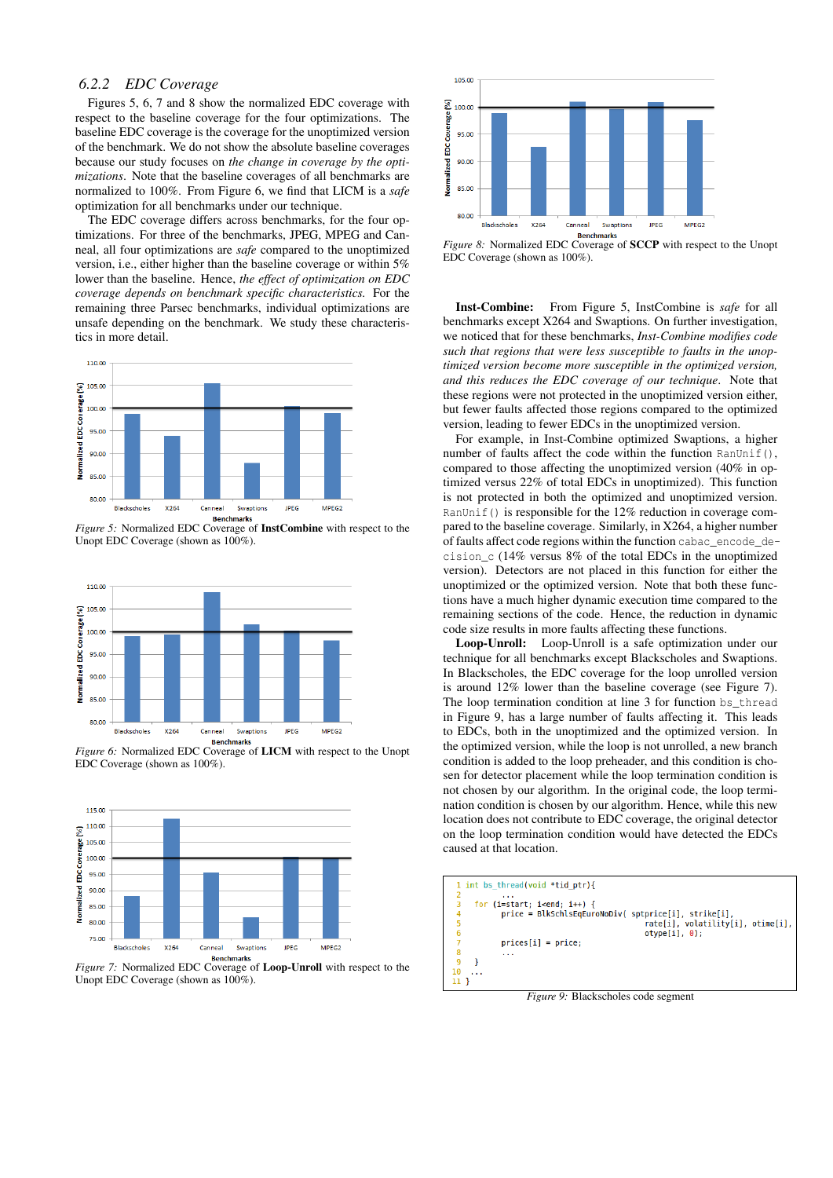#### *6.2.2 EDC Coverage*

Figures 5, 6, 7 and 8 show the normalized EDC coverage with respect to the baseline coverage for the four optimizations. The baseline EDC coverage is the coverage for the unoptimized version of the benchmark. We do not show the absolute baseline coverages because our study focuses on *the change in coverage by the optimizations*. Note that the baseline coverages of all benchmarks are normalized to 100%. From Figure 6, we find that LICM is a *safe* optimization for all benchmarks under our technique.

The EDC coverage differs across benchmarks, for the four optimizations. For three of the benchmarks, JPEG, MPEG and Canneal, all four optimizations are *safe* compared to the unoptimized version, i.e., either higher than the baseline coverage or within 5% lower than the baseline. Hence, *the effect of optimization on EDC coverage depends on benchmark specific characteristics.* For the remaining three Parsec benchmarks, individual optimizations are unsafe depending on the benchmark. We study these characteristics in more detail.



*Figure 5:* Normalized EDC Coverage of InstCombine with respect to the Unopt EDC Coverage (shown as 100%).



*Figure 6:* Normalized EDC Coverage of LICM with respect to the Unopt EDC Coverage (shown as 100%).



*Figure 7:* Normalized EDC Coverage of Loop-Unroll with respect to the Unopt EDC Coverage (shown as 100%).



*Figure 8:* Normalized EDC Coverage of **SCCP** with respect to the Unopt EDC Coverage (shown as 100%).

Inst-Combine: From Figure 5, InstCombine is *safe* for all benchmarks except X264 and Swaptions. On further investigation, we noticed that for these benchmarks, *Inst-Combine modifies code such that regions that were less susceptible to faults in the unoptimized version become more susceptible in the optimized version, and this reduces the EDC coverage of our technique*. Note that these regions were not protected in the unoptimized version either, but fewer faults affected those regions compared to the optimized version, leading to fewer EDCs in the unoptimized version.

For example, in Inst-Combine optimized Swaptions, a higher number of faults affect the code within the function RanUnif(), compared to those affecting the unoptimized version (40% in optimized versus 22% of total EDCs in unoptimized). This function is not protected in both the optimized and unoptimized version. RanUnif() is responsible for the 12% reduction in coverage compared to the baseline coverage. Similarly, in X264, a higher number of faults affect code regions within the function cabac\_encode\_decision\_c (14% versus 8% of the total EDCs in the unoptimized version). Detectors are not placed in this function for either the unoptimized or the optimized version. Note that both these functions have a much higher dynamic execution time compared to the remaining sections of the code. Hence, the reduction in dynamic code size results in more faults affecting these functions.

Loop-Unroll: Loop-Unroll is a safe optimization under our technique for all benchmarks except Blackscholes and Swaptions. In Blackscholes, the EDC coverage for the loop unrolled version is around 12% lower than the baseline coverage (see Figure 7). The loop termination condition at line 3 for function bs\_thread in Figure 9, has a large number of faults affecting it. This leads to EDCs, both in the unoptimized and the optimized version. In the optimized version, while the loop is not unrolled, a new branch condition is added to the loop preheader, and this condition is chosen for detector placement while the loop termination condition is not chosen by our algorithm. In the original code, the loop termination condition is chosen by our algorithm. Hence, while this new location does not contribute to EDC coverage, the original detector on the loop termination condition would have detected the EDCs caused at that location.



*Figure 9:* Blackscholes code segment